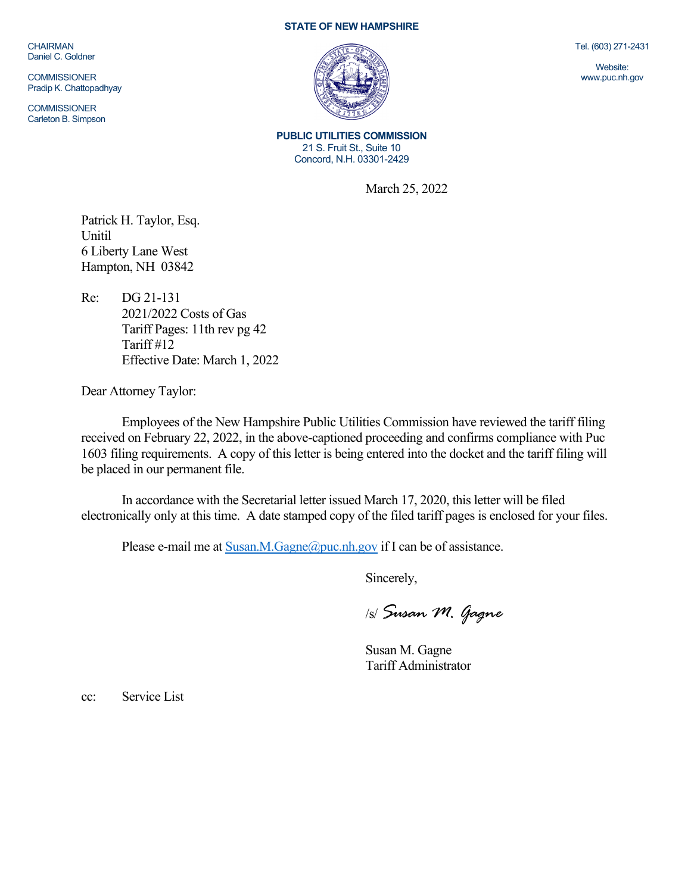CHAIRMAN Daniel C. Goldner

**COMMISSIONER** Pradip K. Chattopadhyay

**COMMISSIONER** Carleton B. Simpson

## **STATE OF NEW HAMPSHIRE**



**PUBLIC UTILITIES COMMISSION** 21 S. Fruit St., Suite 10 Concord, N.H. 03301-2429

March 25, 2022

Patrick H. Taylor, Esq. Unitil 6 Liberty Lane West Hampton, NH 03842

Re: DG 21-131 2021/2022 Costs of Gas Tariff Pages: 11th rev pg 42 Tariff #12 Effective Date: March 1, 2022

Dear Attorney Taylor:

Employees of the New Hampshire Public Utilities Commission have reviewed the tariff filing received on February 22, 2022, in the above-captioned proceeding and confirms compliance with Puc 1603 filing requirements. A copy of this letter is being entered into the docket and the tariff filing will be placed in our permanent file.

In accordance with the Secretarial letter issued March 17, 2020, this letter will be filed electronically only at this time. A date stamped copy of the filed tariff pages is enclosed for your files.

Please e-mail me a[t Susan.M.Gagne@puc.nh.gov](mailto:Susan.M.Gagne@puc.nh.gov) if I can be of assistance.

Sincerely,

/s/ *Susan M. Gagne*

Susan M. Gagne Tariff Administrator

cc: Service List

Tel. (603) 271-2431

Website: www.puc.nh.gov